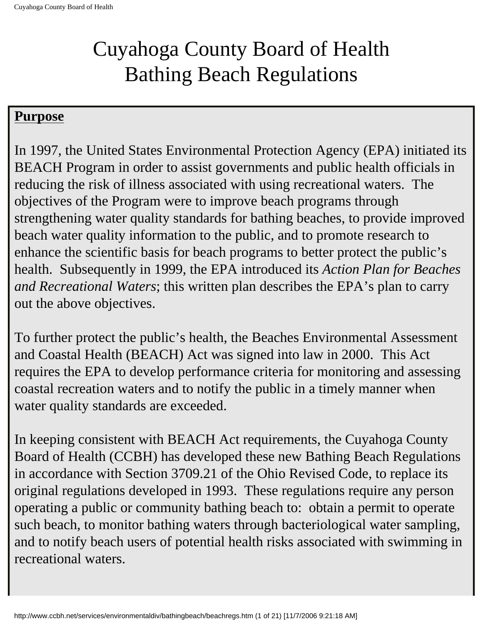# Cuyahoga County Board of Health Bathing Beach Regulations

#### **Purpose**

In 1997, the United States Environmental Protection Agency (EPA) initiated its BEACH Program in order to assist governments and public health officials in reducing the risk of illness associated with using recreational waters. The objectives of the Program were to improve beach programs through strengthening water quality standards for bathing beaches, to provide improved beach water quality information to the public, and to promote research to enhance the scientific basis for beach programs to better protect the public's health. Subsequently in 1999, the EPA introduced its *Action Plan for Beaches and Recreational Waters*; this written plan describes the EPA's plan to carry out the above objectives.

To further protect the public's health, the Beaches Environmental Assessment and Coastal Health (BEACH) Act was signed into law in 2000. This Act requires the EPA to develop performance criteria for monitoring and assessing coastal recreation waters and to notify the public in a timely manner when water quality standards are exceeded.

In keeping consistent with BEACH Act requirements, the Cuyahoga County Board of Health (CCBH) has developed these new Bathing Beach Regulations in accordance with Section 3709.21 of the Ohio Revised Code, to replace its original regulations developed in 1993. These regulations require any person operating a public or community bathing beach to: obtain a permit to operate such beach, to monitor bathing waters through bacteriological water sampling, and to notify beach users of potential health risks associated with swimming in recreational waters.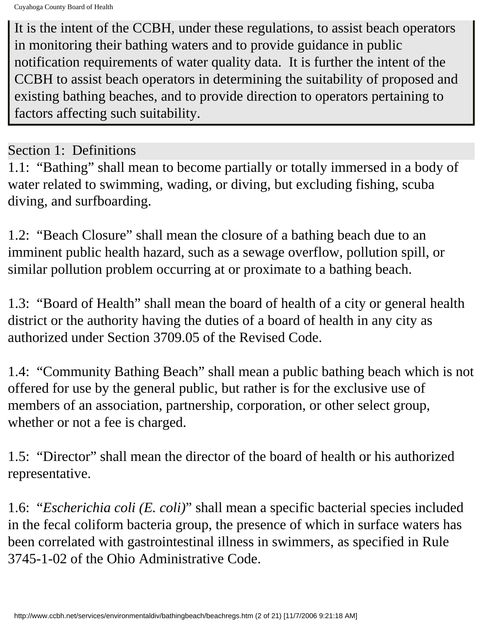Cuyahoga County Board of Health

It is the intent of the CCBH, under these regulations, to assist beach operators in monitoring their bathing waters and to provide guidance in public notification requirements of water quality data. It is further the intent of the CCBH to assist beach operators in determining the suitability of proposed and existing bathing beaches, and to provide direction to operators pertaining to factors affecting such suitability.

## Section 1: Definitions

1.1: "Bathing" shall mean to become partially or totally immersed in a body of water related to swimming, wading, or diving, but excluding fishing, scuba diving, and surfboarding.

1.2: "Beach Closure" shall mean the closure of a bathing beach due to an imminent public health hazard, such as a sewage overflow, pollution spill, or similar pollution problem occurring at or proximate to a bathing beach.

1.3: "Board of Health" shall mean the board of health of a city or general health district or the authority having the duties of a board of health in any city as authorized under Section 3709.05 of the Revised Code.

1.4: "Community Bathing Beach" shall mean a public bathing beach which is not offered for use by the general public, but rather is for the exclusive use of members of an association, partnership, corporation, or other select group, whether or not a fee is charged.

1.5: "Director" shall mean the director of the board of health or his authorized representative.

1.6: "*Escherichia coli (E. coli)*" shall mean a specific bacterial species included in the fecal coliform bacteria group, the presence of which in surface waters has been correlated with gastrointestinal illness in swimmers, as specified in Rule 3745-1-02 of the Ohio Administrative Code.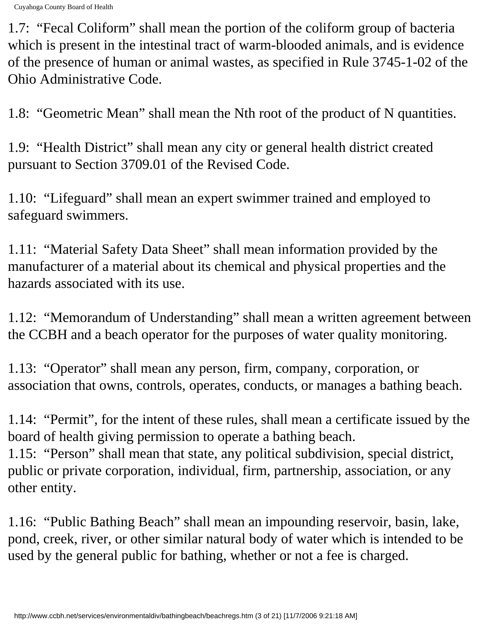1.7: "Fecal Coliform" shall mean the portion of the coliform group of bacteria which is present in the intestinal tract of warm-blooded animals, and is evidence of the presence of human or animal wastes, as specified in Rule 3745-1-02 of the Ohio Administrative Code.

1.8: "Geometric Mean" shall mean the Nth root of the product of N quantities.

1.9: "Health District" shall mean any city or general health district created pursuant to Section 3709.01 of the Revised Code.

1.10: "Lifeguard" shall mean an expert swimmer trained and employed to safeguard swimmers.

1.11: "Material Safety Data Sheet" shall mean information provided by the manufacturer of a material about its chemical and physical properties and the hazards associated with its use.

1.12: "Memorandum of Understanding" shall mean a written agreement between the CCBH and a beach operator for the purposes of water quality monitoring.

1.13: "Operator" shall mean any person, firm, company, corporation, or association that owns, controls, operates, conducts, or manages a bathing beach.

1.14: "Permit", for the intent of these rules, shall mean a certificate issued by the board of health giving permission to operate a bathing beach. 1.15: "Person" shall mean that state, any political subdivision, special district, public or private corporation, individual, firm, partnership, association, or any other entity.

1.16: "Public Bathing Beach" shall mean an impounding reservoir, basin, lake, pond, creek, river, or other similar natural body of water which is intended to be used by the general public for bathing, whether or not a fee is charged.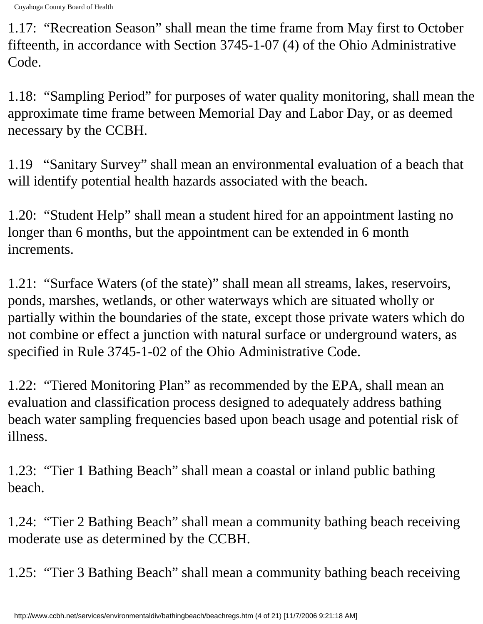1.17: "Recreation Season" shall mean the time frame from May first to October fifteenth, in accordance with Section 3745-1-07 (4) of the Ohio Administrative Code.

1.18: "Sampling Period" for purposes of water quality monitoring, shall mean the approximate time frame between Memorial Day and Labor Day, or as deemed necessary by the CCBH.

1.19 "Sanitary Survey" shall mean an environmental evaluation of a beach that will identify potential health hazards associated with the beach.

1.20: "Student Help" shall mean a student hired for an appointment lasting no longer than 6 months, but the appointment can be extended in 6 month increments.

1.21: "Surface Waters (of the state)" shall mean all streams, lakes, reservoirs, ponds, marshes, wetlands, or other waterways which are situated wholly or partially within the boundaries of the state, except those private waters which do not combine or effect a junction with natural surface or underground waters, as specified in Rule 3745-1-02 of the Ohio Administrative Code.

1.22: "Tiered Monitoring Plan" as recommended by the EPA, shall mean an evaluation and classification process designed to adequately address bathing beach water sampling frequencies based upon beach usage and potential risk of illness.

1.23: "Tier 1 Bathing Beach" shall mean a coastal or inland public bathing beach.

1.24: "Tier 2 Bathing Beach" shall mean a community bathing beach receiving moderate use as determined by the CCBH.

1.25: "Tier 3 Bathing Beach" shall mean a community bathing beach receiving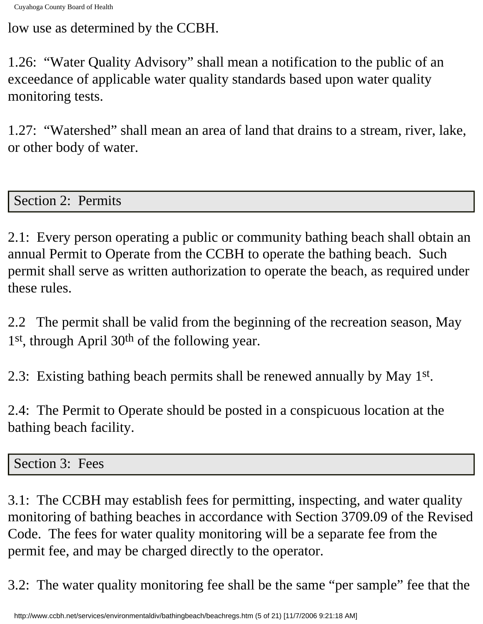low use as determined by the CCBH.

1.26: "Water Quality Advisory" shall mean a notification to the public of an exceedance of applicable water quality standards based upon water quality monitoring tests.

1.27: "Watershed" shall mean an area of land that drains to a stream, river, lake, or other body of water.

Section 2: Permits

2.1: Every person operating a public or community bathing beach shall obtain an annual Permit to Operate from the CCBH to operate the bathing beach. Such permit shall serve as written authorization to operate the beach, as required under these rules.

2.2 The permit shall be valid from the beginning of the recreation season, May 1<sup>st</sup>, through April 30<sup>th</sup> of the following year.

2.3: Existing bathing beach permits shall be renewed annually by May 1st.

2.4: The Permit to Operate should be posted in a conspicuous location at the bathing beach facility.

Section 3: Fees

3.1: The CCBH may establish fees for permitting, inspecting, and water quality monitoring of bathing beaches in accordance with Section 3709.09 of the Revised Code. The fees for water quality monitoring will be a separate fee from the permit fee, and may be charged directly to the operator.

3.2: The water quality monitoring fee shall be the same "per sample" fee that the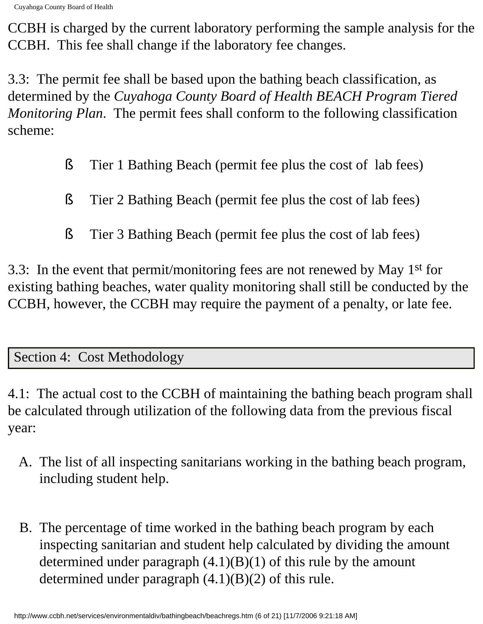CCBH is charged by the current laboratory performing the sample analysis for the CCBH. This fee shall change if the laboratory fee changes.

3.3: The permit fee shall be based upon the bathing beach classification, as determined by the *Cuyahoga County Board of Health BEACH Program Tiered Monitoring Plan*. The permit fees shall conform to the following classification scheme:

- § Tier 1 Bathing Beach (permit fee plus the cost of lab fees)
- § Tier 2 Bathing Beach (permit fee plus the cost of lab fees)
- § Tier 3 Bathing Beach (permit fee plus the cost of lab fees)

3.3: In the event that permit/monitoring fees are not renewed by May 1st for existing bathing beaches, water quality monitoring shall still be conducted by the CCBH, however, the CCBH may require the payment of a penalty, or late fee.

## Section 4: Cost Methodology

4.1: The actual cost to the CCBH of maintaining the bathing beach program shall be calculated through utilization of the following data from the previous fiscal year:

- A. The list of all inspecting sanitarians working in the bathing beach program, including student help.
- B. The percentage of time worked in the bathing beach program by each inspecting sanitarian and student help calculated by dividing the amount determined under paragraph  $(4.1)(B)(1)$  of this rule by the amount determined under paragraph (4.1)(B)(2) of this rule.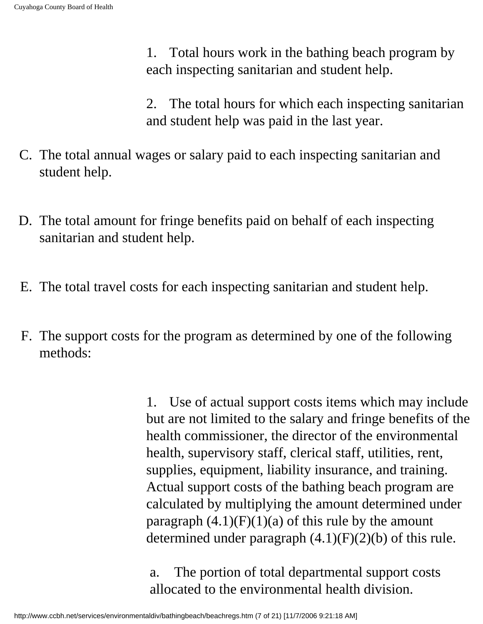1. Total hours work in the bathing beach program by each inspecting sanitarian and student help.

2. The total hours for which each inspecting sanitarian and student help was paid in the last year.

- C. The total annual wages or salary paid to each inspecting sanitarian and student help.
- D. The total amount for fringe benefits paid on behalf of each inspecting sanitarian and student help.
- E. The total travel costs for each inspecting sanitarian and student help.
- F. The support costs for the program as determined by one of the following methods:

1. Use of actual support costs items which may include but are not limited to the salary and fringe benefits of the health commissioner, the director of the environmental health, supervisory staff, clerical staff, utilities, rent, supplies, equipment, liability insurance, and training. Actual support costs of the bathing beach program are calculated by multiplying the amount determined under paragraph  $(4.1)(F)(1)(a)$  of this rule by the amount determined under paragraph  $(4.1)(F)(2)(b)$  of this rule.

a. The portion of total departmental support costs allocated to the environmental health division.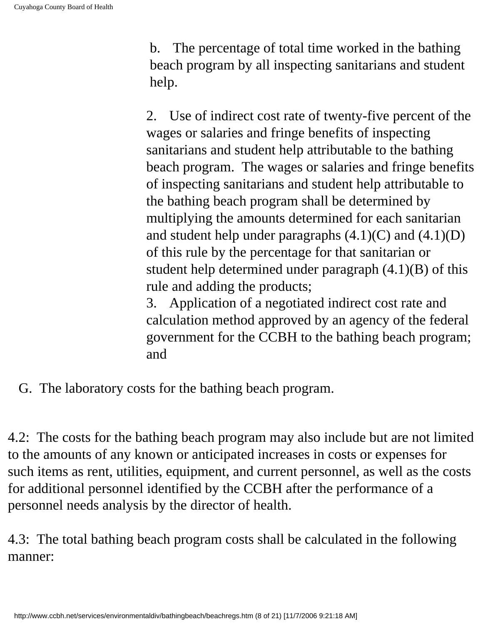b. The percentage of total time worked in the bathing beach program by all inspecting sanitarians and student help.

2. Use of indirect cost rate of twenty-five percent of the wages or salaries and fringe benefits of inspecting sanitarians and student help attributable to the bathing beach program. The wages or salaries and fringe benefits of inspecting sanitarians and student help attributable to the bathing beach program shall be determined by multiplying the amounts determined for each sanitarian and student help under paragraphs (4.1)(C) and (4.1)(D) of this rule by the percentage for that sanitarian or student help determined under paragraph (4.1)(B) of this rule and adding the products;

3. Application of a negotiated indirect cost rate and calculation method approved by an agency of the federal government for the CCBH to the bathing beach program; and

G. The laboratory costs for the bathing beach program.

4.2: The costs for the bathing beach program may also include but are not limited to the amounts of any known or anticipated increases in costs or expenses for such items as rent, utilities, equipment, and current personnel, as well as the costs for additional personnel identified by the CCBH after the performance of a personnel needs analysis by the director of health.

4.3: The total bathing beach program costs shall be calculated in the following manner: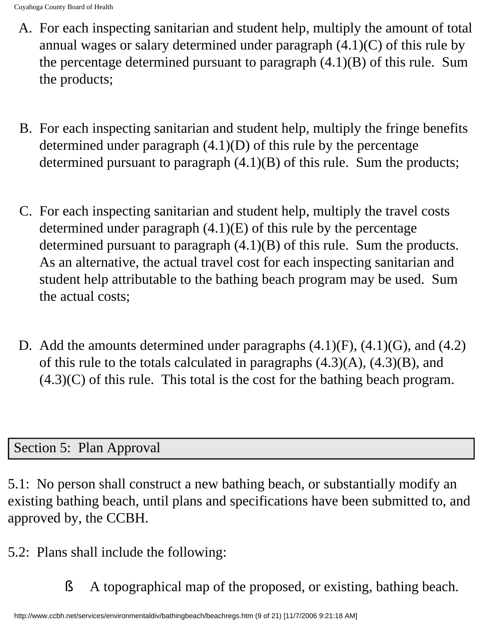- A. For each inspecting sanitarian and student help, multiply the amount of total annual wages or salary determined under paragraph (4.1)(C) of this rule by the percentage determined pursuant to paragraph (4.1)(B) of this rule. Sum the products;
- B. For each inspecting sanitarian and student help, multiply the fringe benefits determined under paragraph (4.1)(D) of this rule by the percentage determined pursuant to paragraph (4.1)(B) of this rule. Sum the products;
- C. For each inspecting sanitarian and student help, multiply the travel costs determined under paragraph (4.1)(E) of this rule by the percentage determined pursuant to paragraph (4.1)(B) of this rule. Sum the products. As an alternative, the actual travel cost for each inspecting sanitarian and student help attributable to the bathing beach program may be used. Sum the actual costs;
- D. Add the amounts determined under paragraphs (4.1)(F), (4.1)(G), and (4.2) of this rule to the totals calculated in paragraphs  $(4.3)(A)$ ,  $(4.3)(B)$ , and  $(4.3)(C)$  of this rule. This total is the cost for the bathing beach program.

## Section 5: Plan Approval

5.1: No person shall construct a new bathing beach, or substantially modify an existing bathing beach, until plans and specifications have been submitted to, and approved by, the CCBH.

5.2: Plans shall include the following:

§ A topographical map of the proposed, or existing, bathing beach.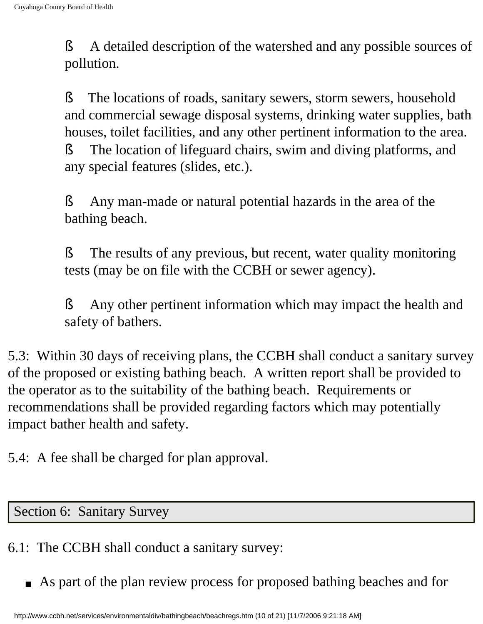§ A detailed description of the watershed and any possible sources of pollution.

§ The locations of roads, sanitary sewers, storm sewers, household and commercial sewage disposal systems, drinking water supplies, bath houses, toilet facilities, and any other pertinent information to the area. § The location of lifeguard chairs, swim and diving platforms, and any special features (slides, etc.).

§ Any man-made or natural potential hazards in the area of the bathing beach.

§ The results of any previous, but recent, water quality monitoring tests (may be on file with the CCBH or sewer agency).

§ Any other pertinent information which may impact the health and safety of bathers.

5.3: Within 30 days of receiving plans, the CCBH shall conduct a sanitary survey of the proposed or existing bathing beach. A written report shall be provided to the operator as to the suitability of the bathing beach. Requirements or recommendations shall be provided regarding factors which may potentially impact bather health and safety.

5.4: A fee shall be charged for plan approval.

Section 6: Sanitary Survey

- 6.1: The CCBH shall conduct a sanitary survey:
	- As part of the plan review process for proposed bathing beaches and for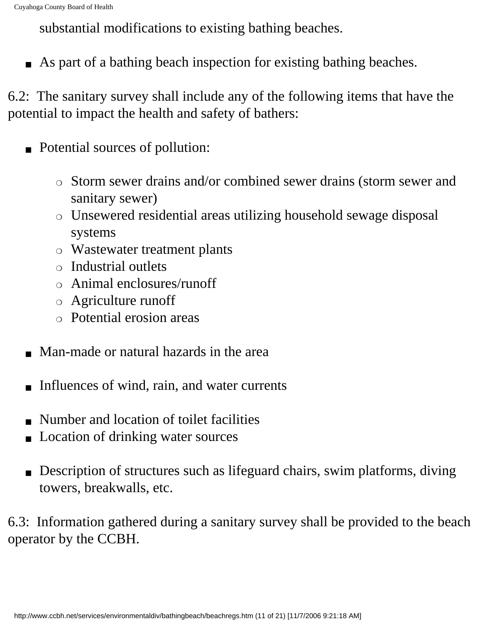substantial modifications to existing bathing beaches.

■ As part of a bathing beach inspection for existing bathing beaches.

6.2: The sanitary survey shall include any of the following items that have the potential to impact the health and safety of bathers:

- Potential sources of pollution:
	- ❍ Storm sewer drains and/or combined sewer drains (storm sewer and sanitary sewer)
	- ❍ Unsewered residential areas utilizing household sewage disposal systems
	- ❍ Wastewater treatment plants
	- ❍ Industrial outlets
	- ❍ Animal enclosures/runoff
	- ❍ Agriculture runoff
	- ❍ Potential erosion areas
- Man-made or natural hazards in the area
- Influences of wind, rain, and water currents
- Number and location of toilet facilities
- Location of drinking water sources
- Description of structures such as lifeguard chairs, swim platforms, diving towers, breakwalls, etc.

6.3: Information gathered during a sanitary survey shall be provided to the beach operator by the CCBH.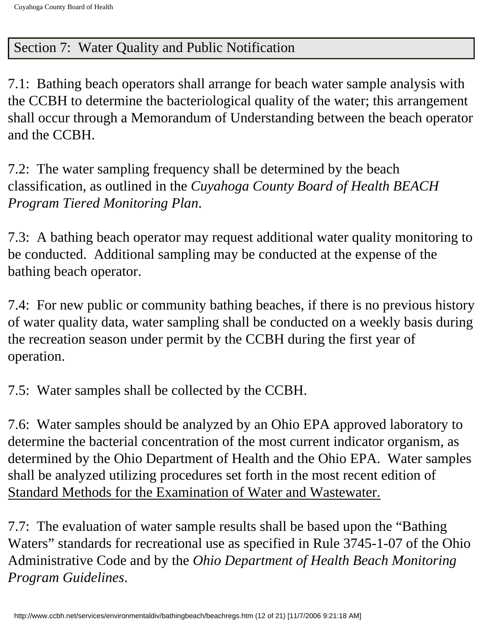## Section 7: Water Quality and Public Notification

7.1: Bathing beach operators shall arrange for beach water sample analysis with the CCBH to determine the bacteriological quality of the water; this arrangement shall occur through a Memorandum of Understanding between the beach operator and the CCBH.

7.2: The water sampling frequency shall be determined by the beach classification, as outlined in the *Cuyahoga County Board of Health BEACH Program Tiered Monitoring Plan*.

7.3: A bathing beach operator may request additional water quality monitoring to be conducted. Additional sampling may be conducted at the expense of the bathing beach operator.

7.4: For new public or community bathing beaches, if there is no previous history of water quality data, water sampling shall be conducted on a weekly basis during the recreation season under permit by the CCBH during the first year of operation.

7.5: Water samples shall be collected by the CCBH.

7.6: Water samples should be analyzed by an Ohio EPA approved laboratory to determine the bacterial concentration of the most current indicator organism, as determined by the Ohio Department of Health and the Ohio EPA. Water samples shall be analyzed utilizing procedures set forth in the most recent edition of Standard Methods for the Examination of Water and Wastewater.

7.7: The evaluation of water sample results shall be based upon the "Bathing Waters" standards for recreational use as specified in Rule 3745-1-07 of the Ohio Administrative Code and by the *Ohio Department of Health Beach Monitoring Program Guidelines*.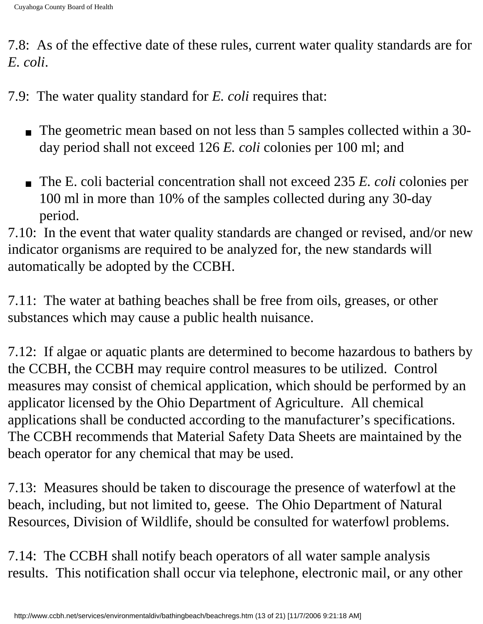7.8: As of the effective date of these rules, current water quality standards are for *E. coli*.

7.9: The water quality standard for *E. coli* requires that:

- The geometric mean based on not less than 5 samples collected within a 30 day period shall not exceed 126 *E. coli* colonies per 100 ml; and
- The E. coli bacterial concentration shall not exceed 235 *E. coli* colonies per 100 ml in more than 10% of the samples collected during any 30-day period.

7.10: In the event that water quality standards are changed or revised, and/or new indicator organisms are required to be analyzed for, the new standards will automatically be adopted by the CCBH.

7.11: The water at bathing beaches shall be free from oils, greases, or other substances which may cause a public health nuisance.

7.12: If algae or aquatic plants are determined to become hazardous to bathers by the CCBH, the CCBH may require control measures to be utilized. Control measures may consist of chemical application, which should be performed by an applicator licensed by the Ohio Department of Agriculture. All chemical applications shall be conducted according to the manufacturer's specifications. The CCBH recommends that Material Safety Data Sheets are maintained by the beach operator for any chemical that may be used.

7.13: Measures should be taken to discourage the presence of waterfowl at the beach, including, but not limited to, geese. The Ohio Department of Natural Resources, Division of Wildlife, should be consulted for waterfowl problems.

7.14: The CCBH shall notify beach operators of all water sample analysis results. This notification shall occur via telephone, electronic mail, or any other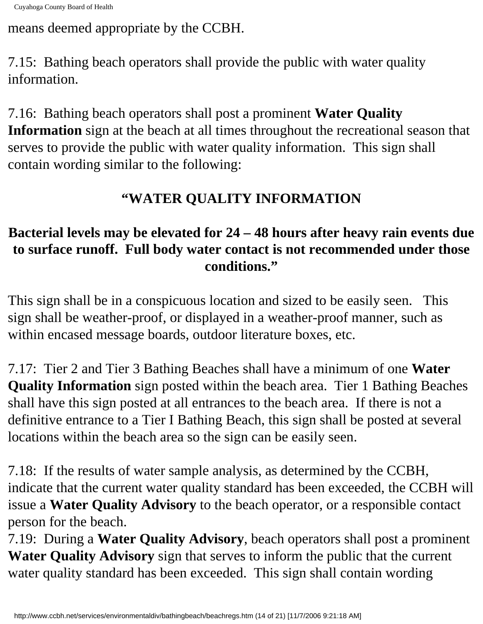means deemed appropriate by the CCBH.

7.15: Bathing beach operators shall provide the public with water quality information.

7.16: Bathing beach operators shall post a prominent **Water Quality Information** sign at the beach at all times throughout the recreational season that serves to provide the public with water quality information. This sign shall contain wording similar to the following:

# **"WATER QUALITY INFORMATION**

## **Bacterial levels may be elevated for 24 – 48 hours after heavy rain events due to surface runoff. Full body water contact is not recommended under those conditions."**

This sign shall be in a conspicuous location and sized to be easily seen. This sign shall be weather-proof, or displayed in a weather-proof manner, such as within encased message boards, outdoor literature boxes, etc.

7.17: Tier 2 and Tier 3 Bathing Beaches shall have a minimum of one **Water Quality Information** sign posted within the beach area. Tier 1 Bathing Beaches shall have this sign posted at all entrances to the beach area. If there is not a definitive entrance to a Tier I Bathing Beach, this sign shall be posted at several locations within the beach area so the sign can be easily seen.

7.18: If the results of water sample analysis, as determined by the CCBH, indicate that the current water quality standard has been exceeded, the CCBH will issue a **Water Quality Advisory** to the beach operator, or a responsible contact person for the beach.

7.19: During a **Water Quality Advisory**, beach operators shall post a prominent **Water Quality Advisory** sign that serves to inform the public that the current water quality standard has been exceeded. This sign shall contain wording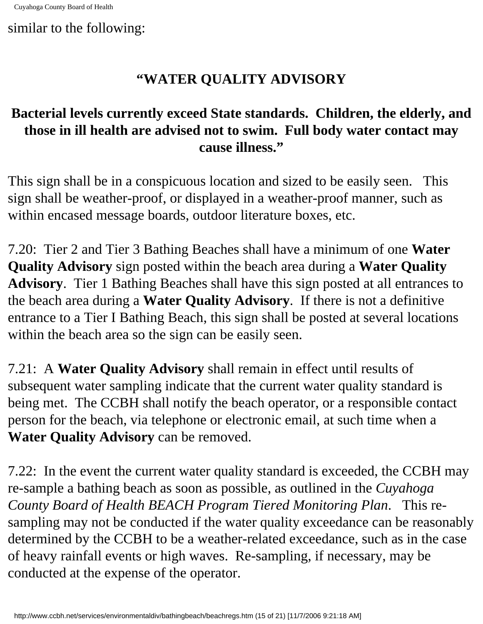similar to the following:

## **"WATER QUALITY ADVISORY**

## **Bacterial levels currently exceed State standards. Children, the elderly, and those in ill health are advised not to swim. Full body water contact may cause illness."**

This sign shall be in a conspicuous location and sized to be easily seen. This sign shall be weather-proof, or displayed in a weather-proof manner, such as within encased message boards, outdoor literature boxes, etc.

7.20: Tier 2 and Tier 3 Bathing Beaches shall have a minimum of one **Water Quality Advisory** sign posted within the beach area during a **Water Quality Advisory**. Tier 1 Bathing Beaches shall have this sign posted at all entrances to the beach area during a **Water Quality Advisory**. If there is not a definitive entrance to a Tier I Bathing Beach, this sign shall be posted at several locations within the beach area so the sign can be easily seen.

7.21: A **Water Quality Advisory** shall remain in effect until results of subsequent water sampling indicate that the current water quality standard is being met. The CCBH shall notify the beach operator, or a responsible contact person for the beach, via telephone or electronic email, at such time when a **Water Quality Advisory** can be removed.

7.22: In the event the current water quality standard is exceeded, the CCBH may re-sample a bathing beach as soon as possible, as outlined in the *Cuyahoga County Board of Health BEACH Program Tiered Monitoring Plan*. This resampling may not be conducted if the water quality exceedance can be reasonably determined by the CCBH to be a weather-related exceedance, such as in the case of heavy rainfall events or high waves. Re-sampling, if necessary, may be conducted at the expense of the operator.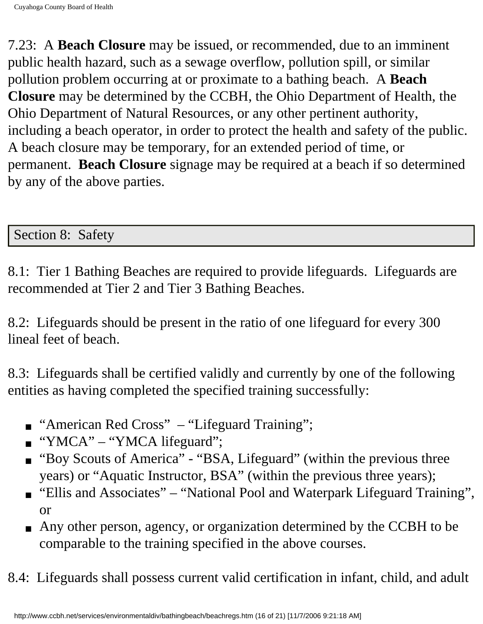7.23: A **Beach Closure** may be issued, or recommended, due to an imminent public health hazard, such as a sewage overflow, pollution spill, or similar pollution problem occurring at or proximate to a bathing beach. A **Beach Closure** may be determined by the CCBH, the Ohio Department of Health, the Ohio Department of Natural Resources, or any other pertinent authority, including a beach operator, in order to protect the health and safety of the public. A beach closure may be temporary, for an extended period of time, or permanent. **Beach Closure** signage may be required at a beach if so determined by any of the above parties.

### Section 8: Safety

8.1: Tier 1 Bathing Beaches are required to provide lifeguards. Lifeguards are recommended at Tier 2 and Tier 3 Bathing Beaches.

8.2: Lifeguards should be present in the ratio of one lifeguard for every 300 lineal feet of beach.

8.3: Lifeguards shall be certified validly and currently by one of the following entities as having completed the specified training successfully:

- "American Red Cross" "Lifeguard Training";
- "YMCA" "YMCA lifeguard";
- "Boy Scouts of America" "BSA, Lifeguard" (within the previous three years) or "Aquatic Instructor, BSA" (within the previous three years);
- "Ellis and Associates" "National Pool and Waterpark Lifeguard Training", or
- Any other person, agency, or organization determined by the CCBH to be comparable to the training specified in the above courses.
- 8.4: Lifeguards shall possess current valid certification in infant, child, and adult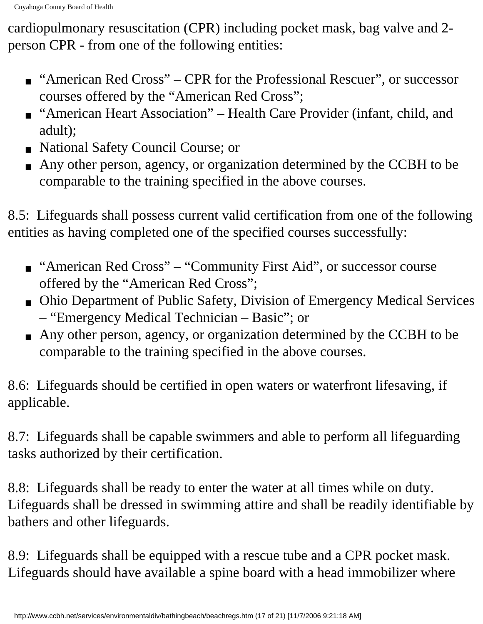cardiopulmonary resuscitation (CPR) including pocket mask, bag valve and 2 person CPR - from one of the following entities:

- "American Red Cross" CPR for the Professional Rescuer", or successor courses offered by the "American Red Cross";
- "American Heart Association" Health Care Provider (infant, child, and adult);
- National Safety Council Course; or
- Any other person, agency, or organization determined by the CCBH to be comparable to the training specified in the above courses.

8.5: Lifeguards shall possess current valid certification from one of the following entities as having completed one of the specified courses successfully:

- "American Red Cross" "Community First Aid", or successor course offered by the "American Red Cross";
- Ohio Department of Public Safety, Division of Emergency Medical Services – "Emergency Medical Technician – Basic"; or
- Any other person, agency, or organization determined by the CCBH to be comparable to the training specified in the above courses.

8.6: Lifeguards should be certified in open waters or waterfront lifesaving, if applicable.

8.7: Lifeguards shall be capable swimmers and able to perform all lifeguarding tasks authorized by their certification.

8.8: Lifeguards shall be ready to enter the water at all times while on duty. Lifeguards shall be dressed in swimming attire and shall be readily identifiable by bathers and other lifeguards.

8.9: Lifeguards shall be equipped with a rescue tube and a CPR pocket mask. Lifeguards should have available a spine board with a head immobilizer where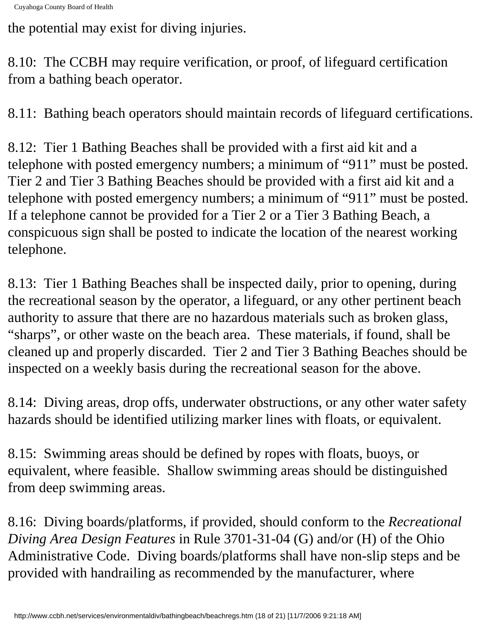the potential may exist for diving injuries.

8.10: The CCBH may require verification, or proof, of lifeguard certification from a bathing beach operator.

8.11: Bathing beach operators should maintain records of lifeguard certifications.

8.12: Tier 1 Bathing Beaches shall be provided with a first aid kit and a telephone with posted emergency numbers; a minimum of "911" must be posted. Tier 2 and Tier 3 Bathing Beaches should be provided with a first aid kit and a telephone with posted emergency numbers; a minimum of "911" must be posted. If a telephone cannot be provided for a Tier 2 or a Tier 3 Bathing Beach, a conspicuous sign shall be posted to indicate the location of the nearest working telephone.

8.13: Tier 1 Bathing Beaches shall be inspected daily, prior to opening, during the recreational season by the operator, a lifeguard, or any other pertinent beach authority to assure that there are no hazardous materials such as broken glass, "sharps", or other waste on the beach area. These materials, if found, shall be cleaned up and properly discarded. Tier 2 and Tier 3 Bathing Beaches should be inspected on a weekly basis during the recreational season for the above.

8.14: Diving areas, drop offs, underwater obstructions, or any other water safety hazards should be identified utilizing marker lines with floats, or equivalent.

8.15: Swimming areas should be defined by ropes with floats, buoys, or equivalent, where feasible. Shallow swimming areas should be distinguished from deep swimming areas.

8.16: Diving boards/platforms, if provided, should conform to the *Recreational Diving Area Design Features* in Rule 3701-31-04 (G) and/or (H) of the Ohio Administrative Code. Diving boards/platforms shall have non-slip steps and be provided with handrailing as recommended by the manufacturer, where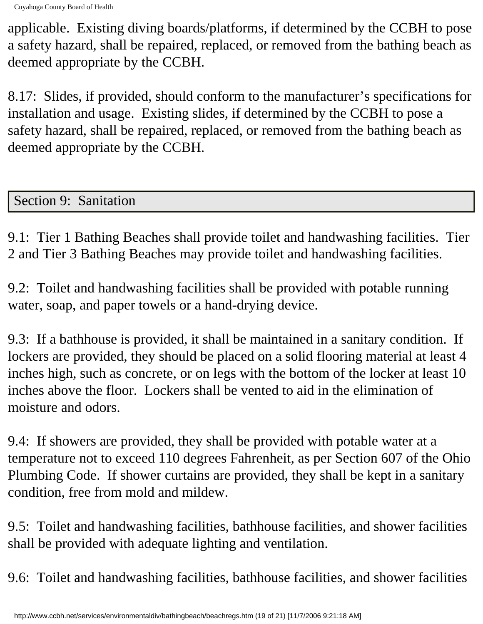Cuyahoga County Board of Health

applicable. Existing diving boards/platforms, if determined by the CCBH to pose a safety hazard, shall be repaired, replaced, or removed from the bathing beach as deemed appropriate by the CCBH.

8.17: Slides, if provided, should conform to the manufacturer's specifications for installation and usage. Existing slides, if determined by the CCBH to pose a safety hazard, shall be repaired, replaced, or removed from the bathing beach as deemed appropriate by the CCBH.

Section 9: Sanitation

9.1: Tier 1 Bathing Beaches shall provide toilet and handwashing facilities. Tier 2 and Tier 3 Bathing Beaches may provide toilet and handwashing facilities.

9.2: Toilet and handwashing facilities shall be provided with potable running water, soap, and paper towels or a hand-drying device.

9.3: If a bathhouse is provided, it shall be maintained in a sanitary condition. If lockers are provided, they should be placed on a solid flooring material at least 4 inches high, such as concrete, or on legs with the bottom of the locker at least 10 inches above the floor. Lockers shall be vented to aid in the elimination of moisture and odors.

9.4: If showers are provided, they shall be provided with potable water at a temperature not to exceed 110 degrees Fahrenheit, as per Section 607 of the Ohio Plumbing Code. If shower curtains are provided, they shall be kept in a sanitary condition, free from mold and mildew.

9.5: Toilet and handwashing facilities, bathhouse facilities, and shower facilities shall be provided with adequate lighting and ventilation.

9.6: Toilet and handwashing facilities, bathhouse facilities, and shower facilities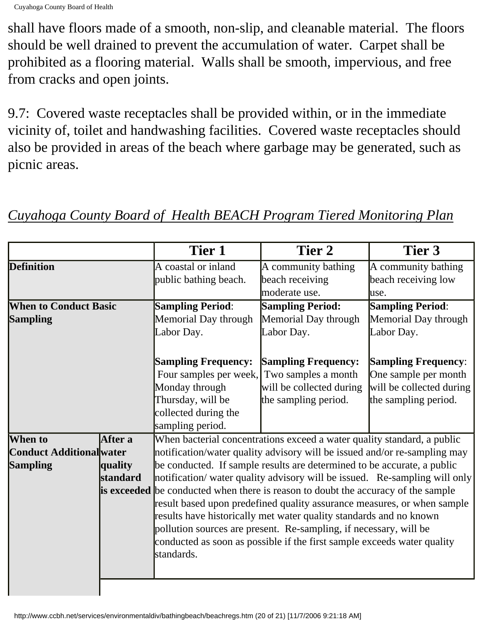shall have floors made of a smooth, non-slip, and cleanable material. The floors should be well drained to prevent the accumulation of water. Carpet shall be prohibited as a flooring material. Walls shall be smooth, impervious, and free from cracks and open joints.

9.7: Covered waste receptacles shall be provided within, or in the immediate vicinity of, toilet and handwashing facilities. Covered waste receptacles should also be provided in areas of the beach where garbage may be generated, such as picnic areas.

|                                 |          | <b>Tier 1</b>                                                                            | Tier 2                                                                  | Tier 3                     |  |  |
|---------------------------------|----------|------------------------------------------------------------------------------------------|-------------------------------------------------------------------------|----------------------------|--|--|
| <b>Definition</b>               |          | A coastal or inland                                                                      | A community bathing                                                     | A community bathing        |  |  |
|                                 |          | public bathing beach.                                                                    | beach receiving                                                         | beach receiving low        |  |  |
|                                 |          |                                                                                          | moderate use.                                                           | luse.                      |  |  |
| <b>When to Conduct Basic</b>    |          | <b>Sampling Period:</b>                                                                  | <b>Sampling Period:</b>                                                 | <b>Sampling Period:</b>    |  |  |
| <b>Sampling</b>                 |          | Memorial Day through                                                                     | Memorial Day through                                                    | Memorial Day through       |  |  |
|                                 |          | Labor Day.                                                                               | Labor Day.                                                              | Labor Day.                 |  |  |
|                                 |          |                                                                                          |                                                                         |                            |  |  |
|                                 |          | <b>Sampling Frequency:</b>                                                               | <b>Sampling Frequency:</b>                                              | <b>Sampling Frequency:</b> |  |  |
|                                 |          | Four samples per week, Two samples a month                                               |                                                                         | One sample per month       |  |  |
|                                 |          | Monday through                                                                           | will be collected during                                                | will be collected during   |  |  |
|                                 |          | Thursday, will be                                                                        | the sampling period.                                                    | the sampling period.       |  |  |
|                                 |          | collected during the                                                                     |                                                                         |                            |  |  |
|                                 |          | sampling period.                                                                         |                                                                         |                            |  |  |
| When to                         | After a  |                                                                                          | When bacterial concentrations exceed a water quality standard, a public |                            |  |  |
| <b>Conduct Additional water</b> |          | notification/water quality advisory will be issued and/or re-sampling may                |                                                                         |                            |  |  |
| <b>Sampling</b>                 | quality  | be conducted. If sample results are determined to be accurate, a public                  |                                                                         |                            |  |  |
|                                 | standard | notification/ water quality advisory will be issued. Re-sampling will only               |                                                                         |                            |  |  |
|                                 |          | <b>is exceeded</b> be conducted when there is reason to doubt the accuracy of the sample |                                                                         |                            |  |  |
|                                 |          | result based upon predefined quality assurance measures, or when sample                  |                                                                         |                            |  |  |
|                                 |          | results have historically met water quality standards and no known                       |                                                                         |                            |  |  |
|                                 |          | pollution sources are present. Re-sampling, if necessary, will be                        |                                                                         |                            |  |  |
|                                 |          | conducted as soon as possible if the first sample exceeds water quality                  |                                                                         |                            |  |  |
|                                 |          | standards.                                                                               |                                                                         |                            |  |  |
|                                 |          |                                                                                          |                                                                         |                            |  |  |
|                                 |          |                                                                                          |                                                                         |                            |  |  |

## *Cuyahoga County Board of Health BEACH Program Tiered Monitoring Plan*